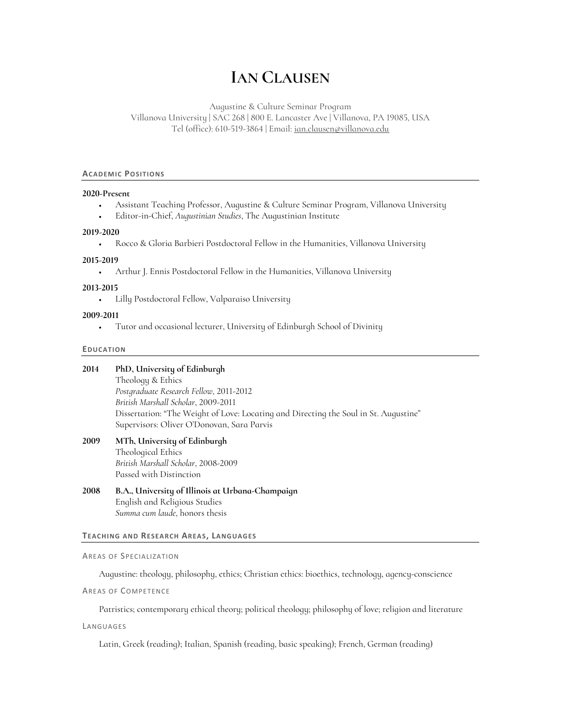# **IAN CLAUSEN**

Augustine & Culture Seminar Program Villanova University | SAC 268 | 800 E. Lancaster Ave | Villanova, PA 19085, USA Tel (office): 610-519-3864 | Email: ian.clausen@villanova.edu

#### **ACADEMIC POSITIONS**

#### **2020-Present**

- Assistant Teaching Professor, Augustine & Culture Seminar Program, Villanova University
- Editor-in-Chief, *Augustinian Studies*, The Augustinian Institute

## **2019-2020**

• Rocco & Gloria Barbieri Postdoctoral Fellow in the Humanities, Villanova University

#### **2015-2019**

• Arthur J. Ennis Postdoctoral Fellow in the Humanities, Villanova University

#### **2013-2015**

• Lilly Postdoctoral Fellow, Valparaiso University

## **2009-2011**

• Tutor and occasional lecturer, University of Edinburgh School of Divinity

#### **EDUCATION**

#### **2014 PhD, University of Edinburgh**

Theology & Ethics *Postgraduate Research Fellow*, 2011-2012 *British Marshall Scholar*, 2009-2011 Dissertation: "The Weight of Love: Locating and Directing the Soul in St. Augustine" Supervisors: Oliver O'Donovan, Sara Parvis

# **2009 MTh, University of Edinburgh** Theological Ethics *British Marshall Scholar*, 2008-2009 Passed with Distinction

**2008 B.A., University of Illinois at Urbana-Champaign** English and Religious Studies *Summa cum laude*, honors thesis

## **TEACHING AND RESEARCH AREAS, LANGUAGES**

#### AREAS OF SPECIALIZATION

Augustine: theology, philosophy, ethics; Christian ethics: bioethics, technology, agency-conscience

AREAS OF COMPETENCE

Patristics; contemporary ethical theory; political theology; philosophy of love; religion and literature

LANGUAGES

Latin, Greek (reading); Italian, Spanish (reading, basic speaking); French, German (reading)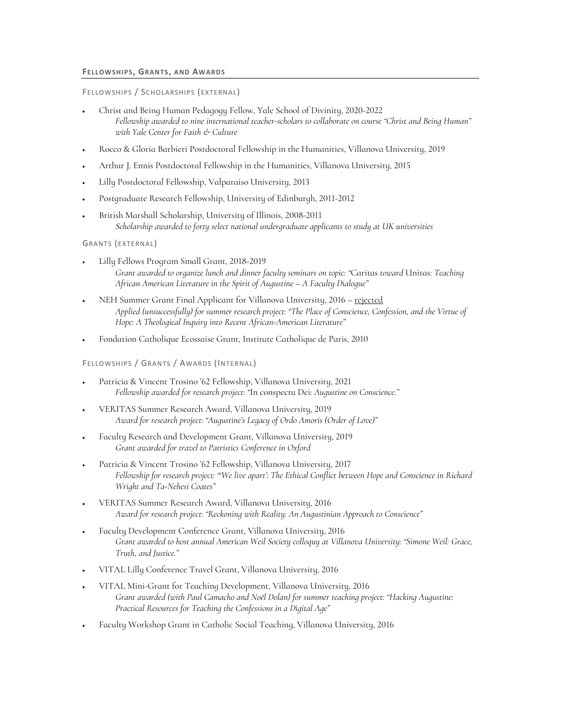## **FELLOWSHIPS, GRANTS, AND AWARDS**

## FELLOWSHIPS / SCHOLARSHIPS (EXTERNAL)

- Christ and Being Human Pedagogy Fellow, Yale School of Divinity, 2020-2022 *Fellowship awarded to nine international teacher-scholars to collaborate on course "Christ and Being Human" with Yale Center for Faith & Culture*
- Rocco & Gloria Barbieri Postdoctoral Fellowship in the Humanities, Villanova University, 2019
- Arthur J. Ennis Postdoctoral Fellowship in the Humanities, Villanova University, 2015
- Lilly Postdoctoral Fellowship, Valparaiso University, 2013
- Postgraduate Research Fellowship, University of Edinburgh, 2011-2012
- British Marshall Scholarship, University of Illinois, 2008-2011 *Scholarship awarded to forty select national undergraduate applicants to study at UK universities*

## GRANTS (EXTERNAL)

- Lilly Fellows Program Small Grant, 2018-2019 *Grant awarded to organize lunch and dinner faculty seminars on topic: "*Caritas *toward* Unitas*: Teaching African American Literature in the Spirit of Augustine – A Faculty Dialogue"*
- NEH Summer Grant Final Applicant for Villanova University, 2016 rejected *Applied (unsuccessfully) for summer research project: "The Place of Conscience, Confession, and the Virtue of Hope: A Theological Inquiry into Recent African-American Literature"*
- Fondation Catholique Ecossaise Grant, Institute Catholique de Paris, 2010

# FELLOWSHIPS / GRANTS / AWARDS (INTERNAL)

- Patricia & Vincent Trosino '62 Fellowship, Villanova University, 2021 *Fellowship awarded for research project: "*In conspectu Dei*: Augustine on Conscience."*
- VERITAS Summer Research Award, Villanova University, 2019 *Award for research project: "Augustine's Legacy of Ordo Amoris (Order of Love)"*
- Faculty Research and Development Grant, Villanova University, 2019 *Grant awarded for travel to Patristics Conference in Oxford*
- Patricia & Vincent Trosino '62 Fellowship, Villanova University, 2017 *Fellowship for research project: "'We live apart': The Ethical Conflict between Hope and Conscience in Richard Wright and Ta-Nehesi Coates"*
- VERITAS Summer Research Award, Villanova University, 2016 *Award for research project: "Reckoning with Reality: An Augustinian Approach to Conscience"*
- Faculty Development Conference Grant, Villanova University, 2016 *Grant awarded to host annual American Weil Society colloquy at Villanova University: "Simone Weil: Grace, Truth, and Justice."*
- VITAL Lilly Conference Travel Grant, Villanova University, 2016
- VITAL Mini-Grant for Teaching Development, Villanova University, 2016 *Grant awarded (with Paul Camacho and Noël Dolan) for summer teaching project: "Hacking Augustine: Practical Resources for Teaching the Confessions in a Digital Age"*
- Faculty Workshop Grant in Catholic Social Teaching, Villanova University, 2016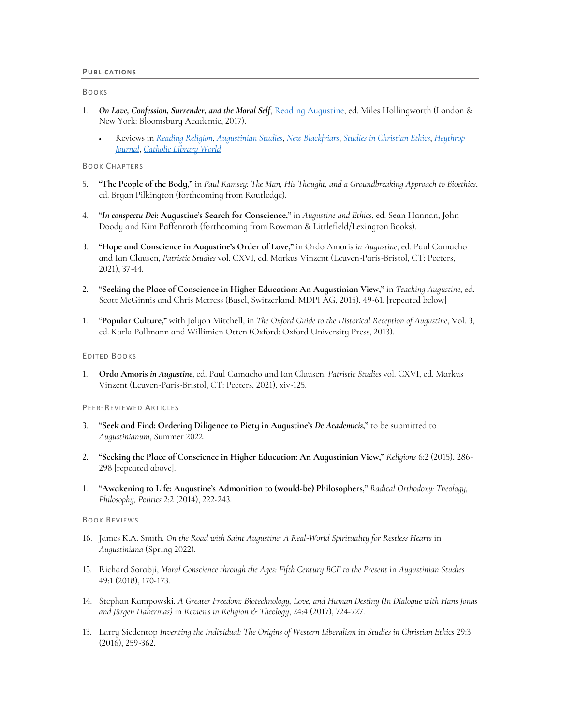## BOOKS

- 1. *On Love, Confession, Surrender, and the Moral Self*, Reading Augustine, ed. Miles Hollingworth (London & New York: Bloomsbury Academic, 2017).
	- Reviews in *Reading Religion*, *Augustinian Studies*, *New Blackfriars*, *Studies in Christian Ethics*, *Heythrop Journal*, *Catholic Library World*

BOOK CHAPTERS

- 5. **"The People of the Body,"** in *Paul Ramsey: The Man, His Thought, and a Groundbreaking Approach to Bioethics*, ed. Bryan Pilkington (forthcoming from Routledge).
- 4. **"***In conspectu Dei***: Augustine's Search for Conscience,"** in *Augustine and Ethics*, ed. Sean Hannan, John Doody and Kim Paffenroth (forthcoming from Rowman & Littlefield/Lexington Books).
- 3. **"Hope and Conscience in Augustine's Order of Love,"** in Ordo Amoris *in Augustine*, ed. Paul Camacho and Ian Clausen, *Patristic Studies* vol. CXVI, ed. Markus Vinzent (Leuven-Paris-Bristol, CT: Peeters, 2021), 37-44.
- 2. **"Seeking the Place of Conscience in Higher Education: An Augustinian View,"** in *Teaching Augustine*, ed. Scott McGinnis and Chris Metress (Basel, Switzerland: MDPI AG, 2015), 49-61. [repeated below]
- 1. **"Popular Culture,"** with Jolyon Mitchell, in *The Oxford Guide to the Historical Reception of Augustine*, Vol. 3, ed. Karla Pollmann and Willimien Otten (Oxford: Oxford University Press, 2013).

## EDITED BOOKS

1. **Ordo Amoris** *in Augustine*, ed. Paul Camacho and Ian Clausen, *Patristic Studies* vol. CXVI, ed. Markus Vinzent (Leuven-Paris-Bristol, CT: Peeters, 2021), xiv-125.

#### PEER-REVIEWED ARTICLES

- 3. **"Seek and Find: Ordering Diligence to Piety in Augustine's** *De Academicis***,"** to be submitted to *Augustinianum*, Summer 2022.
- 2. **"Seeking the Place of Conscience in Higher Education: An Augustinian View,"** *Religions* 6:2 (2015), 286- 298 [repeated above].
- 1. **"Awakening to Life: Augustine's Admonition to (would-be) Philosophers,"** *Radical Orthodoxy: Theology, Philosophy, Politics* 2:2 (2014), 222-243.

## BOOK REVIEWS

- 16. James K.A. Smith, *On the Road with Saint Augustine: A Real-World Spirituality for Restless Hearts* in *Augustiniana* (Spring 2022).
- 15. Richard Sorabji, *Moral Conscience through the Ages: Fifth Century BCE to the Present* in *Augustinian Studies* 49:1 (2018), 170-173.
- 14. Stephan Kampowski, *A Greater Freedom: Biotechnology, Love, and Human Destiny (In Dialogue with Hans Jonas and Jürgen Habermas)* in *Reviews in Religion & Theology*, 24:4 (2017), 724-727.
- 13. Larry Siedentop *Inventing the Individual: The Origins of Western Liberalism* in *Studies in Christian Ethics* 29:3 (2016), 259-362.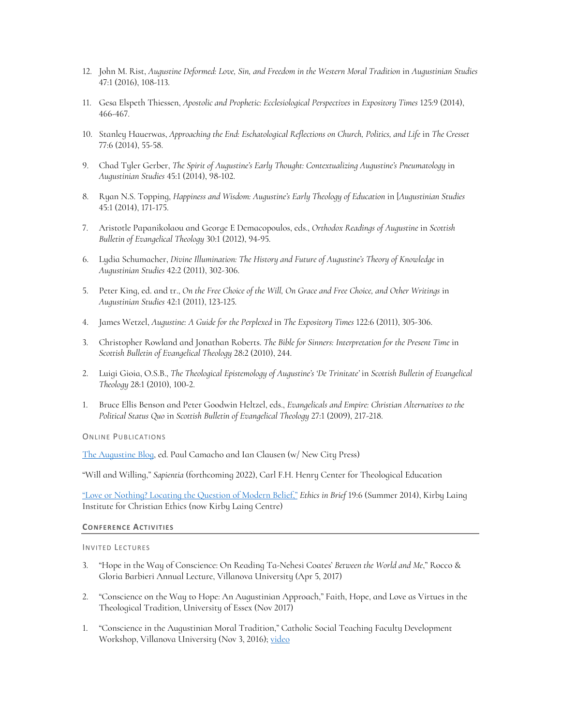- 12. John M. Rist, *Augustine Deformed: Love, Sin, and Freedom in the Western Moral Tradition* in *Augustinian Studies*  47:1 (2016), 108-113.
- 11. Gesa Elspeth Thiessen, *Apostolic and Prophetic: Ecclesiological Perspectives* in *Expository Times* 125:9 (2014), 466-467.
- 10. Stanley Hauerwas, *Approaching the End: Eschatological Reflections on Church, Politics, and Life* in *The Cresset* 77:6 (2014), 55-58.
- 9. Chad Tyler Gerber, *The Spirit of Augustine's Early Thought: Contextualizing Augustine's Pneumatology* in *Augustinian Studies* 45:1 (2014), 98-102.
- 8. Ryan N.S. Topping, *Happiness and Wisdom: Augustine's Early Theology of Education* in [*Augustinian Studies* 45:1 (2014), 171-175.
- 7. Aristotle Papanikolaou and George E Demacopoulos, eds., *Orthodox Readings of Augustine* in *Scottish Bulletin of Evangelical Theology* 30:1 (2012), 94-95.
- 6. Lydia Schumacher, *Divine Illumination: The History and Future of Augustine's Theory of Knowledge* in *Augustinian Studies* 42:2 (2011), 302-306.
- 5. Peter King, ed. and tr., *On the Free Choice of the Will, On Grace and Free Choice, and Other Writings* in *Augustinian Studies* 42:1 (2011), 123-125.
- 4. James Wetzel, *Augustine: A Guide for the Perplexed* in *The Expository Times* 122:6 (2011), 305-306.
- 3. Christopher Rowland and Jonathan Roberts. *The Bible for Sinners: Interpretation for the Present Time* in *Scottish Bulletin of Evangelical Theology* 28:2 (2010), 244.
- 2. Luigi Gioia, O.S.B., *The Theological Epistemology of Augustine's 'De Trinitate'* in *Scottish Bulletin of Evangelical Theology* 28:1 (2010), 100-2.
- 1. Bruce Ellis Benson and Peter Goodwin Heltzel, eds., *Evangelicals and Empire: Christian Alternatives to the Political Status Quo* in *Scottish Bulletin of Evangelical Theology* 27:1 (2009), 217-218.

ONLINE PUBLICATIONS

The Augustine Blog, ed. Paul Camacho and Ian Clausen (w/ New City Press)

"Will and Willing," *Sapientia* (forthcoming 2022), Carl F.H. Henry Center for Theological Education

"Love or Nothing? Locating the Question of Modern Belief," *Ethics in Brief* 19:6 (Summer 2014), Kirby Laing Institute for Christian Ethics (now Kirby Laing Centre)

## **CONFERENCE ACTIVITIES**

INVITED LECTURES

- 3. "Hope in the Way of Conscience: On Reading Ta-Nehesi Coates' *Between the World and Me*," Rocco & Gloria Barbieri Annual Lecture, Villanova University (Apr 5, 2017)
- 2. "Conscience on the Way to Hope: An Augustinian Approach," Faith, Hope, and Love as Virtues in the Theological Tradition, University of Essex (Nov 2017)
- 1. "Conscience in the Augustinian Moral Tradition," Catholic Social Teaching Faculty Development Workshop, Villanova University (Nov 3, 2016); video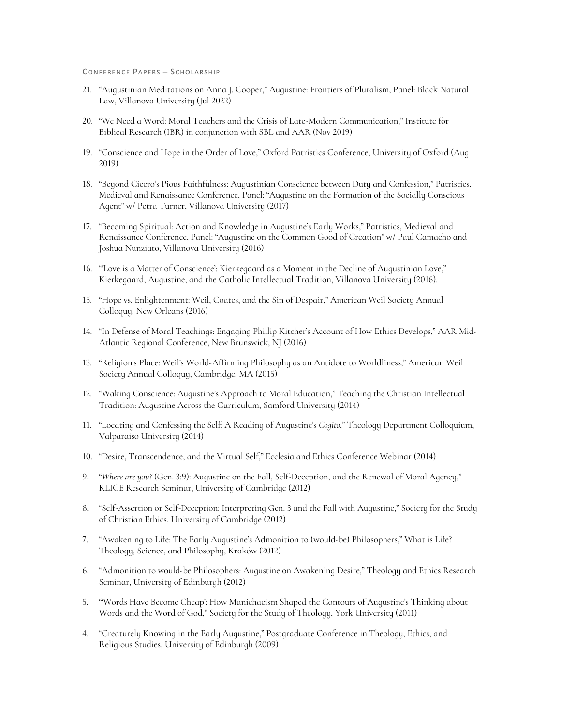#### CONFERENCE PAPERS – SCHOLARSHIP

- 21. "Augustinian Meditations on Anna J. Cooper," Augustine: Frontiers of Pluralism, Panel: Black Natural Law, Villanova University (Jul 2022)
- 20. "We Need a Word: Moral Teachers and the Crisis of Late-Modern Communication," Institute for Biblical Research (IBR) in conjunction with SBL and AAR (Nov 2019)
- 19. "Conscience and Hope in the Order of Love," Oxford Patristics Conference, University of Oxford (Aug 2019)
- 18. "Beyond Cicero's Pious Faithfulness: Augustinian Conscience between Duty and Confession," Patristics, Medieval and Renaissance Conference, Panel: "Augustine on the Formation of the Socially Conscious Agent" w/ Petra Turner, Villanova University (2017)
- 17. "Becoming Spiritual: Action and Knowledge in Augustine's Early Works," Patristics, Medieval and Renaissance Conference, Panel: "Augustine on the Common Good of Creation" w/ Paul Camacho and Joshua Nunziato, Villanova University (2016)
- 16. "'Love is a Matter of Conscience': Kierkegaard as a Moment in the Decline of Augustinian Love," Kierkegaard, Augustine, and the Catholic Intellectual Tradition, Villanova University (2016).
- 15. "Hope vs. Enlightenment: Weil, Coates, and the Sin of Despair," American Weil Society Annual Colloquy, New Orleans (2016)
- 14. "In Defense of Moral Teachings: Engaging Phillip Kitcher's Account of How Ethics Develops," AAR Mid-Atlantic Regional Conference, New Brunswick, NJ (2016)
- 13. "Religion's Place: Weil's World-Affirming Philosophy as an Antidote to Worldliness," American Weil Society Annual Colloquy, Cambridge, MA (2015)
- 12. "Waking Conscience: Augustine's Approach to Moral Education," Teaching the Christian Intellectual Tradition: Augustine Across the Curriculum, Samford University (2014)
- 11. "Locating and Confessing the Self: A Reading of Augustine's *Cogito*," Theology Department Colloquium, Valparaiso University (2014)
- 10. "Desire, Transcendence, and the Virtual Self," Ecclesia and Ethics Conference Webinar (2014)
- 9. "*Where are you?* (Gen. 3:9): Augustine on the Fall, Self-Deception, and the Renewal of Moral Agency," KLICE Research Seminar, University of Cambridge (2012)
- 8. "Self-Assertion or Self-Deception: Interpreting Gen. 3 and the Fall with Augustine," Society for the Study of Christian Ethics, University of Cambridge (2012)
- 7. "Awakening to Life: The Early Augustine's Admonition to (would-be) Philosophers," What is Life? Theology, Science, and Philosophy, Kraków (2012)
- 6. "Admonition to would-be Philosophers: Augustine on Awakening Desire," Theology and Ethics Research Seminar, University of Edinburgh (2012)
- 5. "'Words Have Become Cheap': How Manichaeism Shaped the Contours of Augustine's Thinking about Words and the Word of God," Society for the Study of Theology, York University (2011)
- 4. "Creaturely Knowing in the Early Augustine," Postgraduate Conference in Theology, Ethics, and Religious Studies, University of Edinburgh (2009)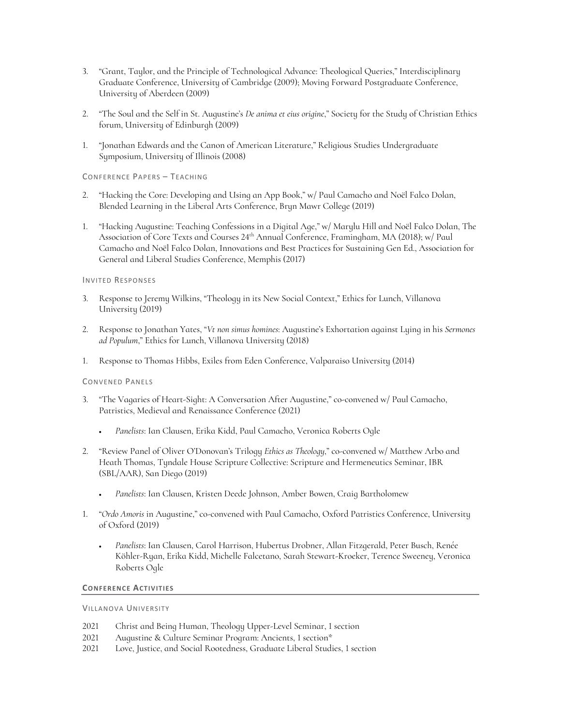- 3. "Grant, Taylor, and the Principle of Technological Advance: Theological Queries," Interdisciplinary Graduate Conference, University of Cambridge (2009); Moving Forward Postgraduate Conference, University of Aberdeen (2009)
- 2. "The Soul and the Self in St. Augustine's *De anima et eius origine*," Society for the Study of Christian Ethics forum, University of Edinburgh (2009)
- 1. "Jonathan Edwards and the Canon of American Literature," Religious Studies Undergraduate Symposium, University of Illinois (2008)

CONFERENCE PAPERS – TEACHING

- 2. "Hacking the Core: Developing and Using an App Book," w/ Paul Camacho and Noël Falco Dolan, Blended Learning in the Liberal Arts Conference, Bryn Mawr College (2019)
- 1. "Hacking Augustine: Teaching Confessions in a Digital Age," w/ Marylu Hill and Noël Falco Dolan, The Association of Core Texts and Courses 24th Annual Conference, Framingham, MA (2018); w/ Paul Camacho and Noël Falco Dolan, Innovations and Best Practices for Sustaining Gen Ed., Association for General and Liberal Studies Conference, Memphis (2017)

# INVITED RESPONSES

- 3. Response to Jeremy Wilkins, "Theology in its New Social Context," Ethics for Lunch, Villanova University (2019)
- 2. Response to Jonathan Yates, "*Vt non simus homines*: Augustine's Exhortation against Lying in his *Sermones ad Populum*," Ethics for Lunch, Villanova University (2018)
- 1. Response to Thomas Hibbs, Exiles from Eden Conference, Valparaiso University (2014)

## CONVENED PANELS

- 3. "The Vagaries of Heart-Sight: A Conversation After Augustine," co-convened w/ Paul Camacho, Patristics, Medieval and Renaissance Conference (2021)
	- *Panelists*: Ian Clausen, Erika Kidd, Paul Camacho, Veronica Roberts Ogle
- 2. "Review Panel of Oliver O'Donovan's Trilogy *Ethics as Theology*," co-convened w/ Matthew Arbo and Heath Thomas, Tyndale House Scripture Collective: Scripture and Hermeneutics Seminar, IBR (SBL/AAR), San Diego (2019)
	- *Panelists*: Ian Clausen, Kristen Deede Johnson, Amber Bowen, Craig Bartholomew
- 1. "*Ordo Amoris* in Augustine," co-convened with Paul Camacho, Oxford Patristics Conference, University of Oxford (2019)
	- *Panelists*: Ian Clausen, Carol Harrison, Hubertus Drobner, Allan Fitzgerald, Peter Busch, Renée Köhler-Ryan, Erika Kidd, Michelle Falcetano, Sarah Stewart-Kroeker, Terence Sweeney, Veronica Roberts Ogle

# **CONFERENCE ACTIVITIES**

VILLANOVA UNIVERSITY

- 2021 Christ and Being Human, Theology Upper-Level Seminar, 1 section
- 2021 Augustine & Culture Seminar Program: Ancients, 1 section\*
- 2021 Love, Justice, and Social Rootedness, Graduate Liberal Studies, 1 section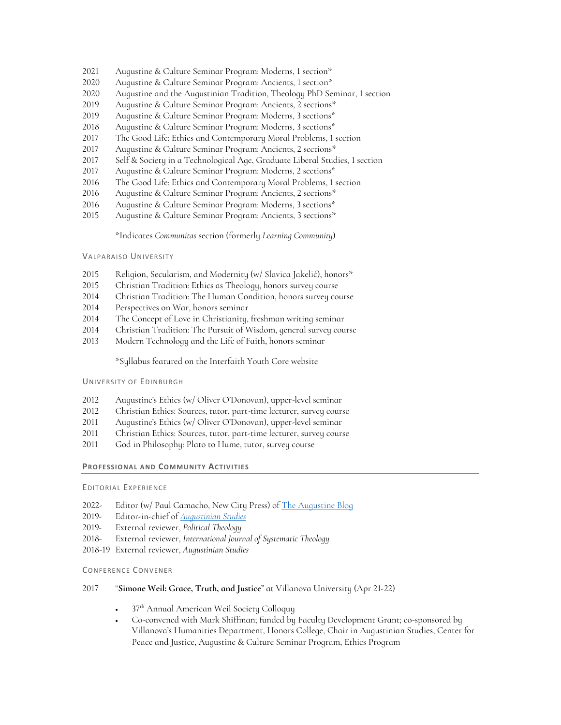- Augustine & Culture Seminar Program: Moderns, 1 section\*
- Augustine & Culture Seminar Program: Ancients, 1 section\*
- Augustine and the Augustinian Tradition, Theology PhD Seminar, 1 section
- 2019 Augustine & Culture Seminar Program: Ancients, 2 sections\*
- Augustine & Culture Seminar Program: Moderns, 3 sections\*
- Augustine & Culture Seminar Program: Moderns, 3 sections\*
- The Good Life: Ethics and Contemporary Moral Problems, 1 section
- Augustine & Culture Seminar Program: Ancients, 2 sections\*
- Self & Society in a Technological Age, Graduate Liberal Studies, 1 section
- Augustine & Culture Seminar Program: Moderns, 2 sections\*
- The Good Life: Ethics and Contemporary Moral Problems, 1 section
- Augustine & Culture Seminar Program: Ancients, 2 sections\*
- Augustine & Culture Seminar Program: Moderns, 3 sections\*
- Augustine & Culture Seminar Program: Ancients, 3 sections\*

\*Indicates *Communitas* section (formerly *Learning Community*)

## VALPARAISO UNIVERSITY

- Religion, Secularism, and Modernity (w/ Slavica Jakelić), honors\*
- Christian Tradition: Ethics as Theology, honors survey course
- Christian Tradition: The Human Condition, honors survey course
- Perspectives on War, honors seminar
- The Concept of Love in Christianity, freshman writing seminar
- Christian Tradition: The Pursuit of Wisdom, general survey course
- Modern Technology and the Life of Faith, honors seminar

\*Syllabus featured on the Interfaith Youth Core website

#### UNIVERSITY OF EDINBURGH

- Augustine's Ethics (w/ Oliver O'Donovan), upper-level seminar
- Christian Ethics: Sources, tutor, part-time lecturer, survey course
- Augustine's Ethics (w/ Oliver O'Donovan), upper-level seminar
- Christian Ethics: Sources, tutor, part-time lecturer, survey course
- God in Philosophy: Plato to Hume, tutor, survey course

## **PROFESSIONAL AND COMMUNITY ACTIVITIES**

## EDITORIAL EXPERIENCE

- 2022- Editor (w/ Paul Camacho, New City Press) of The Augustine Blog
- 2019- Editor-in-chief of *Augustinian Studies*
- 2019- External reviewer, *Political Theology*
- 2018- External reviewer, *International Journal of Systematic Theology*
- 2018-19 External reviewer, *Augustinian Studies*

## CONFERENCE CONVENER

# "**Simone Weil: Grace, Truth, and Justice**" at Villanova University (Apr 21-22)

- 37<sup>th</sup> Annual American Weil Society Colloquy
- Co-convened with Mark Shiffman; funded by Faculty Development Grant; co-sponsored by Villanova's Humanities Department, Honors College, Chair in Augustinian Studies, Center for Peace and Justice, Augustine & Culture Seminar Program, Ethics Program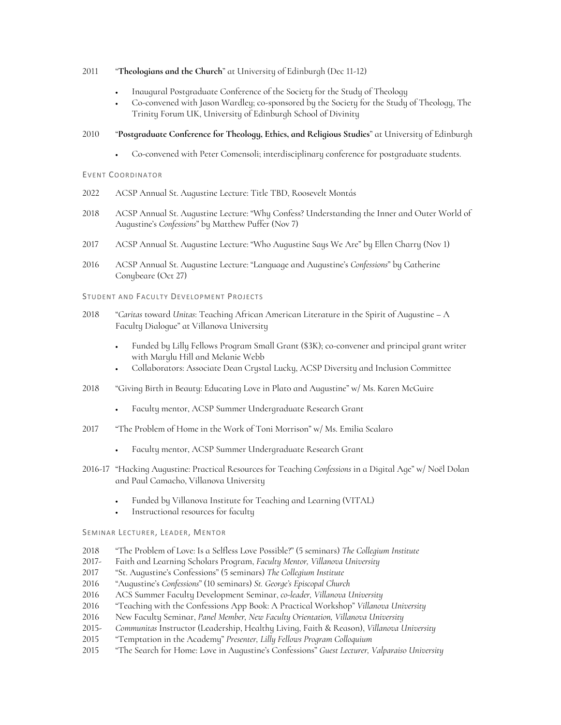# 2011 "**Theologians and the Church**" at University of Edinburgh (Dec 11-12)

- Inaugural Postgraduate Conference of the Society for the Study of Theology
- Co-convened with Jason Wardley; co-sponsored by the Society for the Study of Theology, The Trinity Forum UK, University of Edinburgh School of Divinity

# 2010 "**Postgraduate Conference for Theology, Ethics, and Religious Studies**" at University of Edinburgh

• Co-convened with Peter Comensoli; interdisciplinary conference for postgraduate students.

## EVENT COORDINATOR

- 2022 ACSP Annual St. Augustine Lecture: Title TBD, Roosevelt Montás
- 2018 ACSP Annual St. Augustine Lecture: "Why Confess? Understanding the Inner and Outer World of Augustine's *Confessions*" by Matthew Puffer (Nov 7)
- 2017 ACSP Annual St. Augustine Lecture: "Who Augustine Says We Are" by Ellen Charry (Nov 1)
- 2016 ACSP Annual St. Augustine Lecture: "Language and Augustine's *Confessions*" by Catherine Conybeare (Oct 27)

## STUDENT AND FACULTY DEVELOPMENT PROJECTS

- 2018 "*Caritas* toward *Unitas*: Teaching African American Literature in the Spirit of Augustine A Faculty Dialogue" at Villanova University
	- Funded by Lilly Fellows Program Small Grant (\$3K); co-convener and principal grant writer with Marylu Hill and Melanie Webb
	- Collaborators: Associate Dean Crystal Lucky, ACSP Diversity and Inclusion Committee
- 2018 "Giving Birth in Beauty: Educating Love in Plato and Augustine" w/ Ms. Karen McGuire
	- Faculty mentor, ACSP Summer Undergraduate Research Grant
- 2017 "The Problem of Home in the Work of Toni Morrison" w/ Ms. Emilia Scalaro
	- Faculty mentor, ACSP Summer Undergraduate Research Grant
- 2016-17 "Hacking Augustine: Practical Resources for Teaching *Confessions* in a Digital Age" w/ Noël Dolan and Paul Camacho, Villanova University
	- Funded by Villanova Institute for Teaching and Learning (VITAL)
	- Instructional resources for faculty

## SEMINAR LECTURER, LEADER, MENTOR

- 2018 "The Problem of Love: Is a Selfless Love Possible?" (5 seminars) *The Collegium Institute*
- 2017- Faith and Learning Scholars Program, *Faculty Mentor, Villanova University*
- 2017 "St. Augustine's Confessions" (5 seminars) *The Collegium Institute*
- 2016 "Augustine's *Confessions*" (10 seminars) *St. George's Episcopal Church*
- 2016 ACS Summer Faculty Development Seminar, *co-leader, Villanova University*
- 2016 "Teaching with the Confessions App Book: A Practical Workshop" *Villanova University*
- 2016 New Faculty Seminar, *Panel Member, New Faculty Orientation, Villanova University*
- 2015- *Communitas* Instructor (Leadership, Healthy Living, Faith & Reason), *Villanova University*
- 2015 "Temptation in the Academy" *Presenter, Lilly Fellows Program Colloquium*
- 2015 "The Search for Home: Love in Augustine's Confessions" *Guest Lecturer, Valparaiso University*